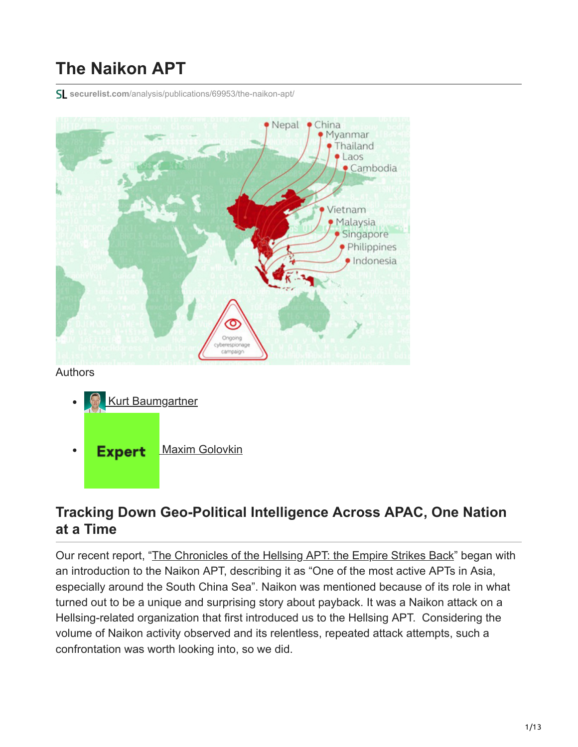# **The Naikon APT**

**securelist.com**[/analysis/publications/69953/the-naikon-apt/](https://securelist.com/analysis/publications/69953/the-naikon-apt/)



#### **Tracking Down Geo-Political Intelligence Across APAC, One Nation at a Time**

Our recent report, "[The Chronicles of the Hellsing APT: the Empire Strikes Back"](https://securelist.com/analysis/publications/69567/the-chronicles-of-the-hellsing-apt-the-empire-strikes-back/) began with an introduction to the Naikon APT, describing it as "One of the most active APTs in Asia, especially around the South China Sea". Naikon was mentioned because of its role in what turned out to be a unique and surprising story about payback. It was a Naikon attack on a Hellsing-related organization that first introduced us to the Hellsing APT. Considering the volume of Naikon activity observed and its relentless, repeated attack attempts, such a confrontation was worth looking into, so we did.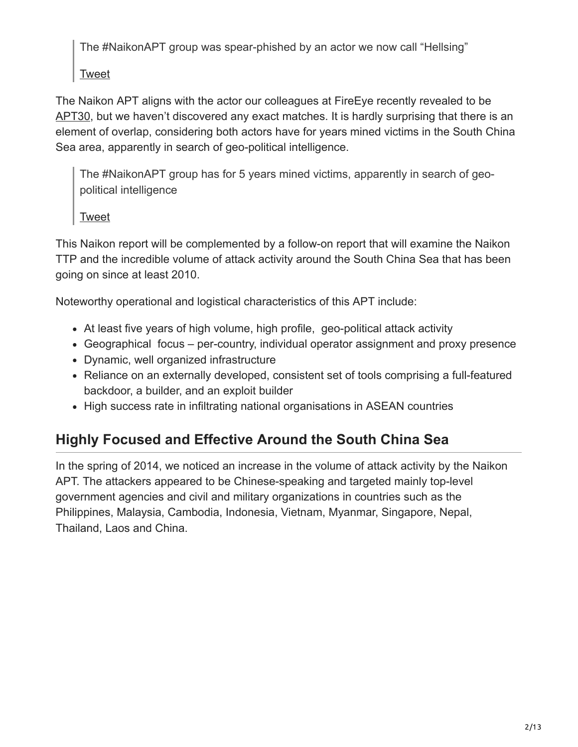The #NaikonAPT group was spear-phished by an actor we now call "Hellsing"

[Tweet](https://twitter.com/share?url=https%3A%2F%2Fsecurelist.com%2Fthe-naikon-apt%2F69953%2F&text=The+%23NaikonAPT+group+was+spear-phished+by+an+actor+we+now+call+%26%238220%3BHellsing%26%238221%3B)

The Naikon APT aligns with the actor our colleagues at FireEye recently revealed to be [APT30,](https://media.kasperskycontenthub.com/wp-content/uploads/sites/43/2015/05/20081935/rpt-apt30.pdf) but we haven't discovered any exact matches. It is hardly surprising that there is an element of overlap, considering both actors have for years mined victims in the South China Sea area, apparently in search of geo-political intelligence.

The #NaikonAPT group has for 5 years mined victims, apparently in search of geopolitical intelligence

#### [Tweet](https://twitter.com/share?url=https%3A%2F%2Fsecurelist.com%2Fthe-naikon-apt%2F69953%2F&text=The+%23NaikonAPT+group+has+for+5+years+mined+victims%2C+apparently+in+search+of+geo-political+intelligence)

This Naikon report will be complemented by a follow-on report that will examine the Naikon TTP and the incredible volume of attack activity around the South China Sea that has been going on since at least 2010.

Noteworthy operational and logistical characteristics of this APT include:

- At least five years of high volume, high profile, geo-political attack activity
- Geographical focus per-country, individual operator assignment and proxy presence
- Dynamic, well organized infrastructure
- Reliance on an externally developed, consistent set of tools comprising a full-featured backdoor, a builder, and an exploit builder
- High success rate in infiltrating national organisations in ASEAN countries

# **Highly Focused and Effective Around the South China Sea**

In the spring of 2014, we noticed an increase in the volume of attack activity by the Naikon APT. The attackers appeared to be Chinese-speaking and targeted mainly top-level government agencies and civil and military organizations in countries such as the Philippines, Malaysia, Cambodia, Indonesia, Vietnam, Myanmar, Singapore, Nepal, Thailand, Laos and China.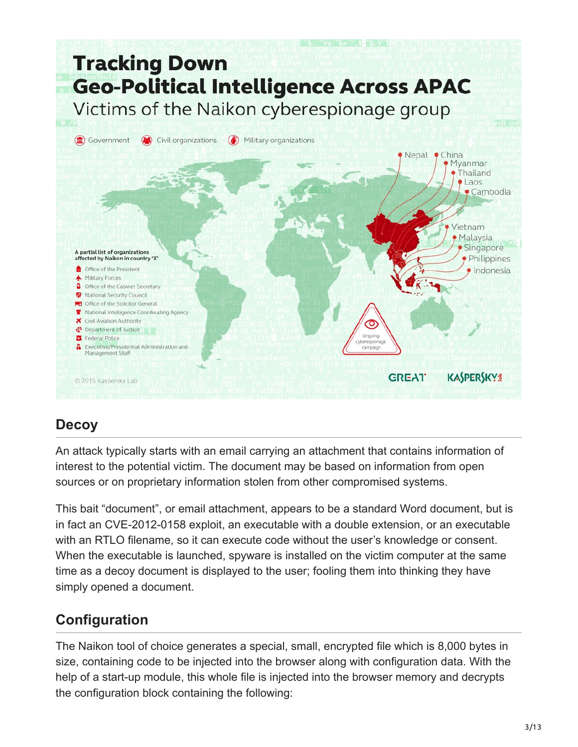

# **Decoy**

An attack typically starts with an email carrying an attachment that contains information of interest to the potential victim. The document may be based on information from open sources or on proprietary information stolen from other compromised systems.

This bait "document", or email attachment, appears to be a standard Word document, but is in fact an CVE-2012-0158 exploit, an executable with a double extension, or an executable with an RTLO filename, so it can execute code without the user's knowledge or consent. When the executable is launched, spyware is installed on the victim computer at the same time as a decoy document is displayed to the user; fooling them into thinking they have simply opened a document.

# **Configuration**

The Naikon tool of choice generates a special, small, encrypted file which is 8,000 bytes in size, containing code to be injected into the browser along with configuration data. With the help of a start-up module, this whole file is injected into the browser memory and decrypts the configuration block containing the following: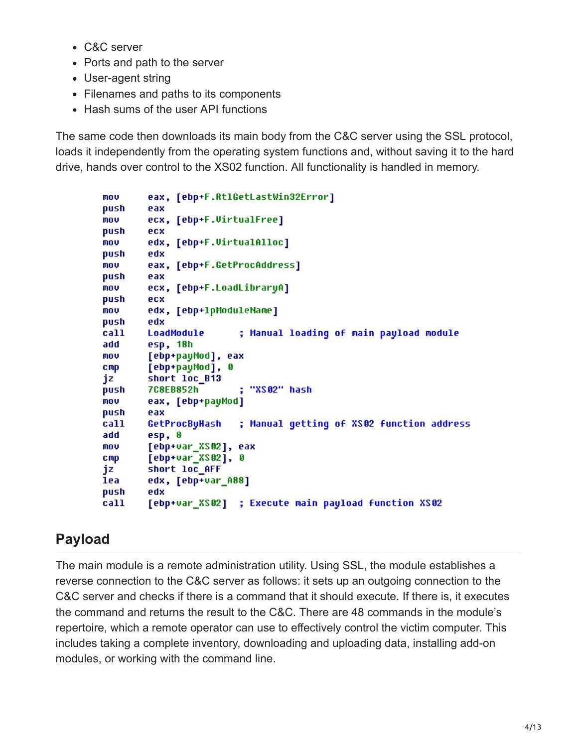- C&C server
- Ports and path to the server
- User-agent string
- Filenames and paths to its components
- Hash sums of the user API functions

The same code then downloads its main body from the C&C server using the SSL protocol, loads it independently from the operating system functions and, without saving it to the hard drive, hands over control to the XS02 function. All functionality is handled in memory.

```
eax, [ebp+F.RtlGetLastWin32Error]
mou
push
        eax
        ecx, [ebp+F.VirtualFree]
mou
push
        ecx
        edx, [ebp+F.VirtualAlloc]
mou
push
        edx
mou
        eax, [ebp+F.GetProcAddress]
push
        eax
        ecx, [ebp+F.LoadLibraryA]
mov<sub>1</sub>
push
        ecx
        edx, [ebp+1pModuleName]
mou
push
        edx
                          ; Manual loading of main payload module
        LoadModule
call
add
        esp, 18h
        [ebp+payMod], eax
mov.
cmp[ebp+payMod], 0
jz
        short loc B13
        7C8EB852h
                          ; "XS02" hash
push
        eax, [ebp+payMod]
mov<sub>1</sub>
push
        eax
call
        GetProcByHash
                          ; Manual getting of XS02 function address
add
        esp, 8
        [ebp+var XS02], eax
mou.
        [ebp+var XS02], 0
CMDjz
        short loc AFF
lea
        edx, [ebp+var A88]
push
        edx
        [ebp+var_XS02] ; Execute main payload function XS02
call
```
# **Payload**

The main module is a remote administration utility. Using SSL, the module establishes a reverse connection to the C&C server as follows: it sets up an outgoing connection to the C&C server and checks if there is a command that it should execute. If there is, it executes the command and returns the result to the C&C. There are 48 commands in the module's repertoire, which a remote operator can use to effectively control the victim computer. This includes taking a complete inventory, downloading and uploading data, installing add-on modules, or working with the command line.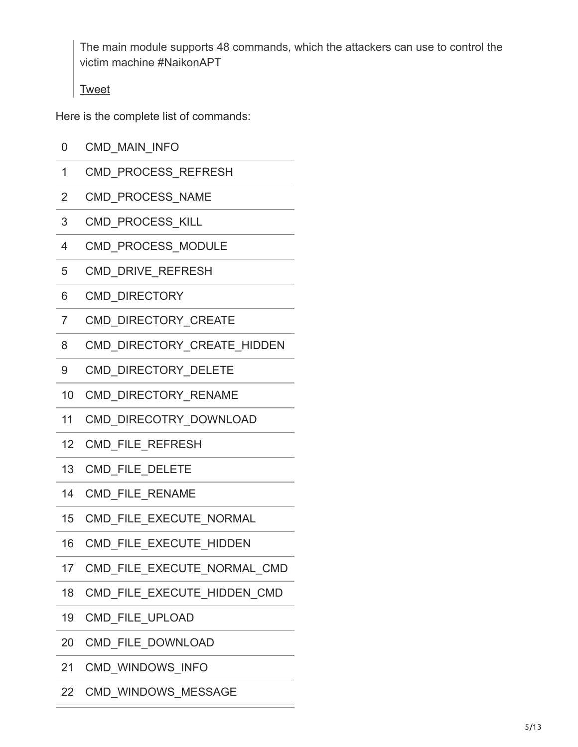The main module supports 48 commands, which the attackers can use to control the victim machine #NaikonAPT

[Tweet](https://twitter.com/share?url=https%3A%2F%2Fsecurelist.com%2Fthe-naikon-apt%2F69953%2F&text=The+main+module+supports+48+commands%2C+which+the+attackers+can+use+to+control+the+victim+machine+%23NaikonAPT)

Here is the complete list of commands:

- 0 CMD\_MAIN\_INFO
- 1 CMD\_PROCESS\_REFRESH
- 2 CMD\_PROCESS\_NAME
- 3 CMD\_PROCESS\_KILL
- 4 CMD\_PROCESS\_MODULE
- 5 CMD\_DRIVE\_REFRESH
- 6 CMD\_DIRECTORY
- 7 CMD\_DIRECTORY\_CREATE
- 8 CMD\_DIRECTORY\_CREATE\_HIDDEN
- 9 CMD DIRECTORY DELETE
- 10 CMD\_DIRECTORY\_RENAME
- 11 CMD\_DIRECOTRY\_DOWNLOAD
- 12 CMD\_FILE\_REFRESH
- 13 CMD FILE DELETE
- 14 CMD\_FILE\_RENAME
- 15 CMD FILE EXECUTE NORMAL
- 16 CMD FILE EXECUTE HIDDEN
- 17 CMD FILE EXECUTE NORMAL CMD
- 18 CMD\_FILE\_EXECUTE\_HIDDEN\_CMD
- 19 CMD\_FILE\_UPLOAD
- 20 CMD\_FILE\_DOWNLOAD
- 21 CMD\_WINDOWS\_INFO
- 22 CMD\_WINDOWS\_MESSAGE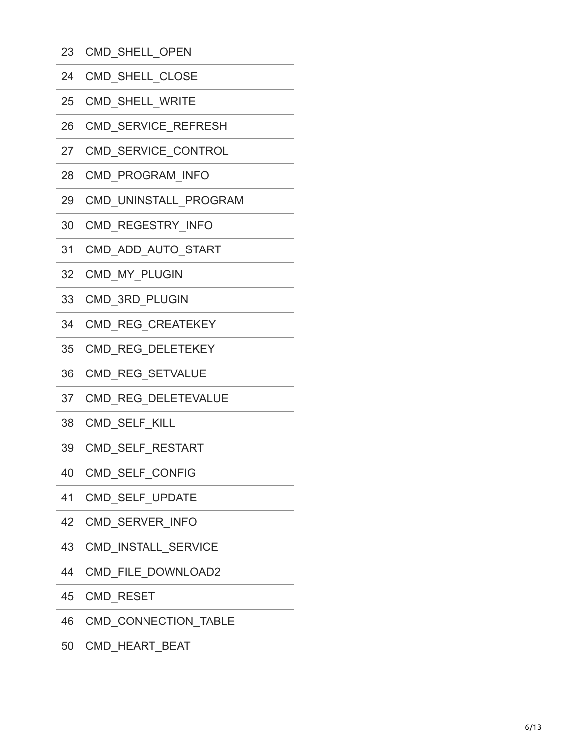- CMD\_SHELL\_OPEN
- CMD\_SHELL\_CLOSE
- CMD\_SHELL\_WRITE
- CMD\_SERVICE\_REFRESH
- CMD\_SERVICE\_CONTROL
- CMD\_PROGRAM\_INFO
- CMD\_UNINSTALL\_PROGRAM
- CMD\_REGESTRY\_INFO
- CMD\_ADD\_AUTO\_STAR T
- CMD\_MY\_PLUGIN
- CMD\_3RD\_PLUGIN
- CMD\_REG\_CREATEKEY
- CMD\_REG\_DELETEKEY
- CMD\_REG\_SETVALUE
- CMD\_REG\_DELETEVALUE
- CMD\_SELF\_KILL
- CMD\_SELF\_RESTAR T
- CMD\_SELF\_CONFIG
- CMD\_SELF\_UPDATE
- CMD\_SERVER\_INFO
- CMD\_INSTALL\_SERVICE
- CMD\_FILE\_DOWNLOAD2
- CMD\_RESET
- CMD\_CONNECTION\_TABLE
- CMD\_HEART\_BEAT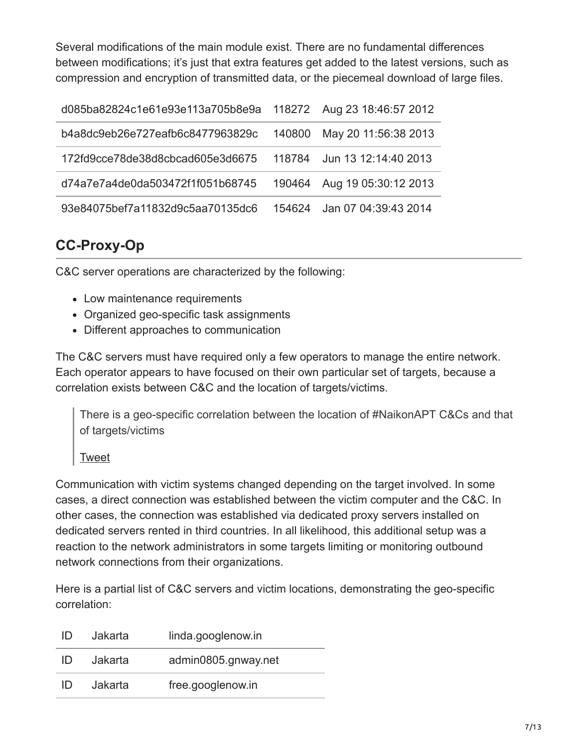Several modifications of the main module exist. There are no fundamental differences between modifications; it's just that extra features get added to the latest versions, such as compression and encryption of transmitted data, or the piecemeal download of large files.

| d085ba82824c1e61e93e113a705b8e9a 118272 Aug 23 18:46:57 2012 |        |                      |
|--------------------------------------------------------------|--------|----------------------|
| b4a8dc9eb26e727eafb6c8477963829c                             | 140800 | May 20 11:56:38 2013 |
| 172fd9cce78de38d8cbcad605e3d6675                             | 118784 | Jun 13 12:14:40 2013 |
| d74a7e7a4de0da503472f1f051b68745                             | 190464 | Aug 19 05:30:12 2013 |
| 93e84075bef7a11832d9c5aa70135dc6                             | 154624 | Jan 07 04:39:43 2014 |

### **CC-Proxy-Op**

C&C server operations are characterized by the following:

- Low maintenance requirements
- Organized geo-specific task assignments
- Different approaches to communication

The C&C servers must have required only a few operators to manage the entire network. Each operator appears to have focused on their own particular set of targets, because a correlation exists between C&C and the location of targets/victims.

There is a geo-specific correlation between the location of #NaikonAPT C&Cs and that of targets/victims

[Tweet](https://twitter.com/share?url=https%3A%2F%2Fsecurelist.com%2Fthe-naikon-apt%2F69953%2F&text=There+is+a+geo-specific+correlation+between+the+location+of+%23NaikonAPT+C%26amp%3BCs+and+that+of+targets%2Fvictims)

Communication with victim systems changed depending on the target involved. In some cases, a direct connection was established between the victim computer and the C&C. In other cases, the connection was established via dedicated proxy servers installed on dedicated servers rented in third countries. In all likelihood, this additional setup was a reaction to the network administrators in some targets limiting or monitoring outbound network connections from their organizations.

Here is a partial list of C&C servers and victim locations, demonstrating the geo-specific correlation:

| ID. | Jakarta | linda.googlenow.in  |
|-----|---------|---------------------|
| ID  | Jakarta | admin0805.gnway.net |
| ID  | Jakarta | free.googlenow.in   |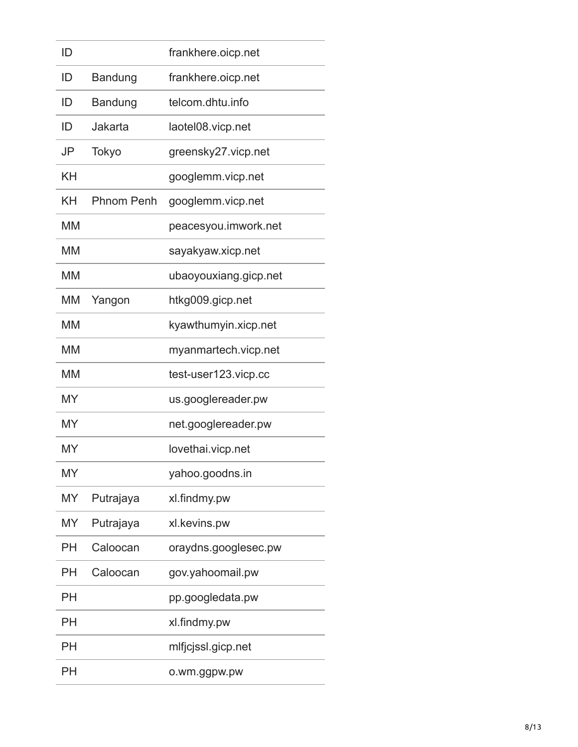| ID        |                   | frankhere.oicp.net    |
|-----------|-------------------|-----------------------|
| ID        | Bandung           | frankhere.oicp.net    |
| ID        | Bandung           | telcom dhtu info      |
| ID        | Jakarta           | laotel08.vicp.net     |
| JP        | Tokyo             | greensky27.vicp.net   |
| KΗ        |                   | googlemm.vicp.net     |
| KΗ        | <b>Phnom Penh</b> | googlemm.vicp.net     |
| MM        |                   | peacesyou.imwork.net  |
| МM        |                   | sayakyaw.xicp.net     |
| MM        |                   | ubaoyouxiang.gicp.net |
| MM        | Yangon            | htkg009.gicp.net      |
| <b>MM</b> |                   | kyawthumyin.xicp.net  |
| МM        |                   | myanmartech.vicp.net  |
| МM        |                   | test-user123.vicp.cc  |
| MY        |                   | us.googlereader.pw    |
| MY        |                   | net.googlereader.pw   |
| MY        |                   | lovethai.vicp.net     |
| MY        |                   | yahoo.goodns.in       |
| MY        | Putrajaya         | xl.findmy.pw          |
| MY        | Putrajaya         | xl.kevins.pw          |
| PH        | Caloocan          | oraydns.googlesec.pw  |
| PН        | Caloocan          | gov.yahoomail.pw      |
| PH        |                   | pp.googledata.pw      |
| PН        |                   | xl.findmy.pw          |
| PН        |                   | mlfjcjssl.gicp.net    |
| PH        |                   | o.wm.ggpw.pw          |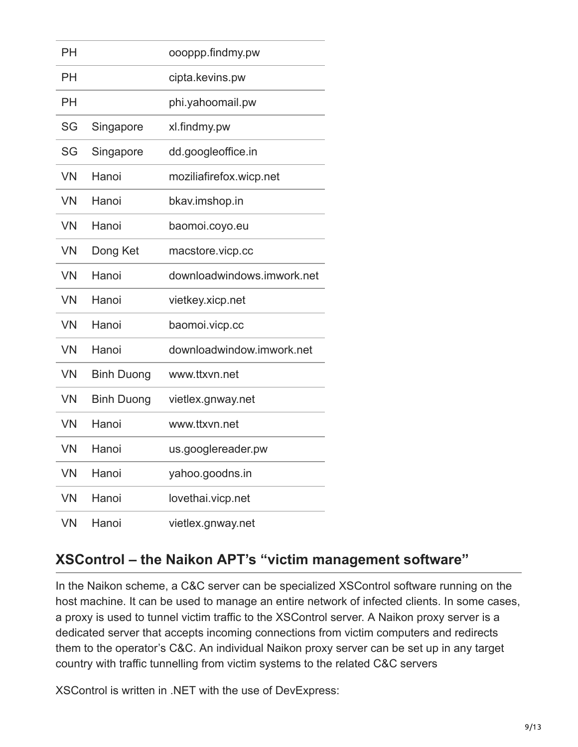| PH        |                   | oooppp.findmy.pw           |
|-----------|-------------------|----------------------------|
| PH        |                   | cipta.kevins.pw            |
| <b>PH</b> |                   | phi.yahoomail.pw           |
| SG        | Singapore         | xl.findmy.pw               |
| SG        | Singapore         | dd.googleoffice.in         |
| <b>VN</b> | Hanoi             | moziliafirefox.wicp.net    |
| <b>VN</b> | Hanoi             | bkav.imshop.in             |
| <b>VN</b> | Hanoi             | baomoi.coyo.eu             |
| <b>VN</b> | Dong Ket          | macstore.vicp.cc           |
| <b>VN</b> | Hanoi             | downloadwindows.imwork.net |
| <b>VN</b> | Hanoi             | vietkey.xicp.net           |
| <b>VN</b> | Hanoi             | baomoi.vicp.cc             |
| <b>VN</b> | Hanoi             | downloadwindow.imwork.net  |
| <b>VN</b> | <b>Binh Duong</b> | www.ttxvn.net              |
| <b>VN</b> | <b>Binh Duong</b> | vietlex.gnway.net          |
| <b>VN</b> | Hanoi             | www.ttxvn.net              |
| <b>VN</b> | Hanoi             | us.googlereader.pw         |
| <b>VN</b> | Hanoi             | yahoo.goodns.in            |
| <b>VN</b> | Hanoi             | lovethai.vicp.net          |
| <b>VN</b> | Hanoi             | vietlex.gnway.net          |

### **XSControl – the Naikon APT's "victim management software"**

In the Naikon scheme, a C&C server can be specialized XSControl software running on the host machine. It can be used to manage an entire network of infected clients. In some cases, a proxy is used to tunnel victim traffic to the XSControl server. A Naikon proxy server is a dedicated server that accepts incoming connections from victim computers and redirects them to the operator's C&C. An individual Naikon proxy server can be set up in any target country with traffic tunnelling from victim systems to the related C&C servers

XSControl is written in .NET with the use of DevExpress: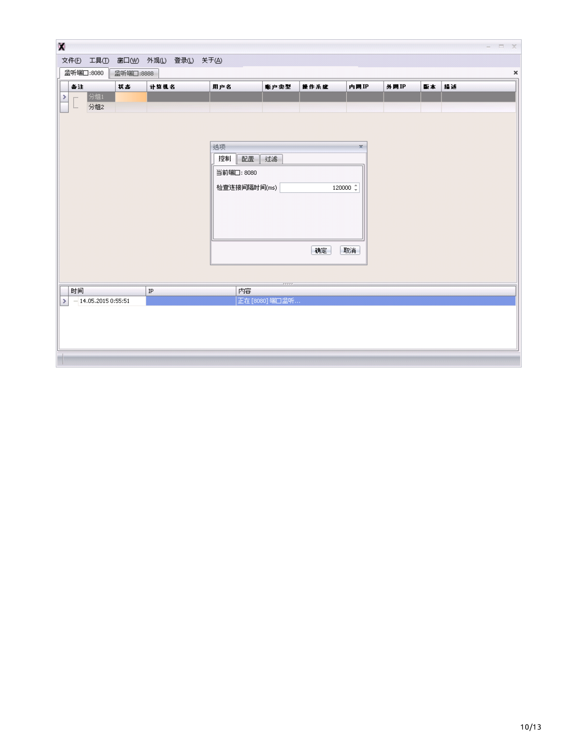| $\mathbf{C}$  |                        |                      |          |          |                                     |              |                 |      |                      |                |    |    | $ \Box$ $\times$ |
|---------------|------------------------|----------------------|----------|----------|-------------------------------------|--------------|-----------------|------|----------------------|----------------|----|----|------------------|
|               |                        |                      |          |          | 文件(F) 工具(I) 窗口(M) 外观(L) 登录(L) 关于(A) |              |                 |      |                      |                |    |    |                  |
|               | 监听端□:8080<br>监听端□:8888 |                      |          |          |                                     |              |                 |      |                      | $\pmb{\times}$ |    |    |                  |
|               | 备注                     |                      | 状态       | 计算机名     |                                     | 用户名          | 账户卖型            | 操作系统 | 内閉IP                 | 外网IP           | 版本 | 指述 |                  |
| ×             | $\cdots$               | 分组1                  |          |          |                                     |              |                 |      |                      |                |    |    |                  |
|               | $L_{\rm max}$          | 分组2                  |          |          |                                     |              |                 |      |                      |                |    |    |                  |
|               |                        |                      |          |          |                                     |              |                 |      |                      |                |    |    |                  |
|               |                        |                      |          |          |                                     |              |                 |      |                      |                |    |    |                  |
|               |                        |                      |          |          |                                     | 选项           |                 |      | $\mathbf x$          |                |    |    |                  |
|               |                        |                      |          |          |                                     | 配置 过滤<br>控制  |                 |      |                      |                |    |    |                  |
|               |                        |                      |          |          |                                     | 当前端口: 8080   |                 |      |                      |                |    |    |                  |
|               |                        |                      |          |          |                                     | 检查连接间隔时间(ms) |                 |      | 120000 $\frac{4}{x}$ |                |    |    |                  |
|               |                        |                      |          |          |                                     |              |                 |      |                      |                |    |    |                  |
|               |                        |                      |          |          |                                     |              |                 |      |                      |                |    |    |                  |
|               |                        |                      |          |          |                                     |              |                 |      |                      |                |    |    |                  |
|               |                        |                      |          |          |                                     |              |                 |      |                      |                |    |    |                  |
|               |                        |                      | 确定<br>取消 |          |                                     |              |                 |      |                      |                |    |    |                  |
|               |                        |                      |          |          |                                     |              |                 |      |                      |                |    |    |                  |
|               |                        |                      |          |          |                                     |              |                 |      |                      |                |    |    |                  |
|               | 时间                     |                      |          | $\rm IP$ |                                     | 内容           |                 |      |                      |                |    |    |                  |
| $\rightarrow$ |                        | $-14.05,20150:55:51$ |          |          |                                     |              | 正在 [8080] 端口监听… |      |                      |                |    |    |                  |
|               |                        |                      |          |          |                                     |              |                 |      |                      |                |    |    |                  |
|               |                        |                      |          |          |                                     |              |                 |      |                      |                |    |    |                  |
|               |                        |                      |          |          |                                     |              |                 |      |                      |                |    |    |                  |
|               |                        |                      |          |          |                                     |              |                 |      |                      |                |    |    |                  |
|               |                        |                      |          |          |                                     |              |                 |      |                      |                |    |    |                  |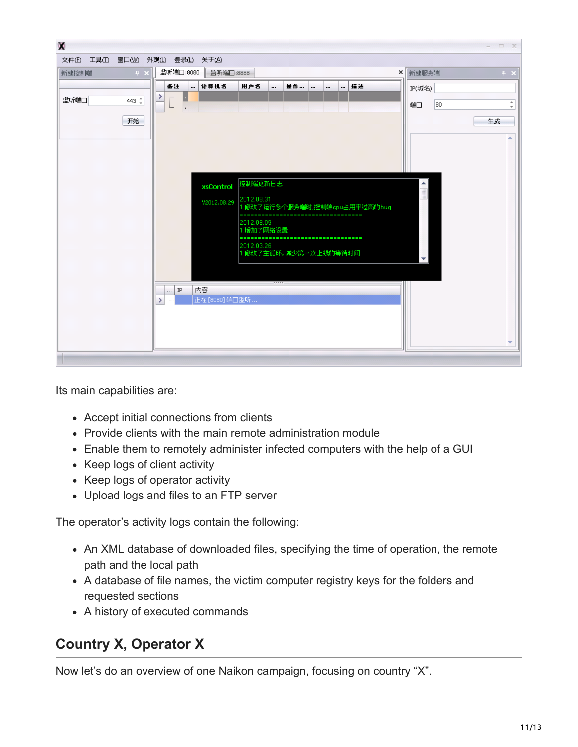

Its main capabilities are:

- Accept initial connections from clients
- Provide clients with the main remote administration module
- Enable them to remotely administer infected computers with the help of a GUI
- Keep logs of client activity
- Keep logs of operator activity
- Upload logs and files to an FTP server

The operator's activity logs contain the following:

- An XML database of downloaded files, specifying the time of operation, the remote path and the local path
- A database of file names, the victim computer registry keys for the folders and requested sections
- A history of executed commands

### **Country X, Operator X**

Now let's do an overview of one Naikon campaign, focusing on country "X".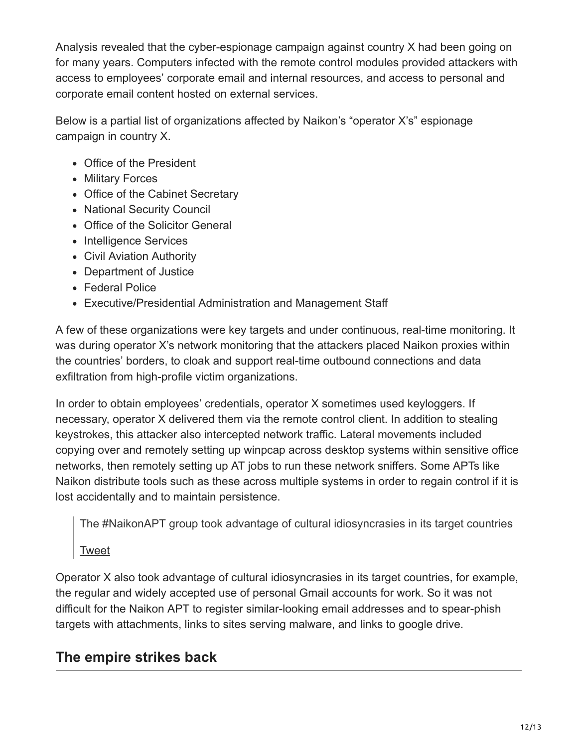Analysis revealed that the cyber-espionage campaign against country X had been going on for many years. Computers infected with the remote control modules provided attackers with access to employees' corporate email and internal resources, and access to personal and corporate email content hosted on external services.

Below is a partial list of organizations affected by Naikon's "operator X's" espionage campaign in country X.

- Office of the President
- Military Forces
- Office of the Cabinet Secretary
- National Security Council
- Office of the Solicitor General
- Intelligence Services
- Civil Aviation Authority
- Department of Justice
- Federal Police
- Executive/Presidential Administration and Management Staff

A few of these organizations were key targets and under continuous, real-time monitoring. It was during operator X's network monitoring that the attackers placed Naikon proxies within the countries' borders, to cloak and support real-time outbound connections and data exfiltration from high-profile victim organizations.

In order to obtain employees' credentials, operator X sometimes used keyloggers. If necessary, operator X delivered them via the remote control client. In addition to stealing keystrokes, this attacker also intercepted network traffic. Lateral movements included copying over and remotely setting up winpcap across desktop systems within sensitive office networks, then remotely setting up AT jobs to run these network sniffers. Some APTs like Naikon distribute tools such as these across multiple systems in order to regain control if it is lost accidentally and to maintain persistence.

The #NaikonAPT group took advantage of cultural idiosyncrasies in its target countries

[Tweet](https://twitter.com/share?url=https%3A%2F%2Fsecurelist.com%2Fthe-naikon-apt%2F69953%2F&text=The+%23NaikonAPT+group+took+advantage+of+cultural+idiosyncrasies+in+its+target+countries)

Operator X also took advantage of cultural idiosyncrasies in its target countries, for example, the regular and widely accepted use of personal Gmail accounts for work. So it was not difficult for the Naikon APT to register similar-looking email addresses and to spear-phish targets with attachments, links to sites serving malware, and links to google drive.

### **The empire strikes back**